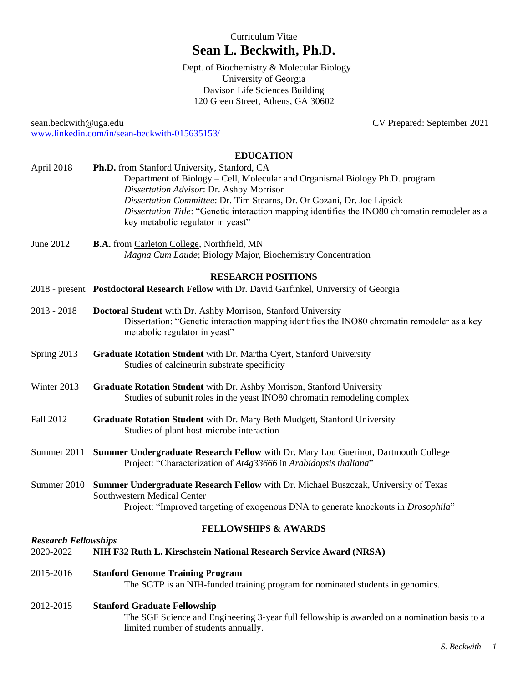# Curriculum Vitae **Sean L. Beckwith, Ph.D.**

. Dept. of Biochemistry & Molecular Biology University of Georgia Davison Life Sciences Building 120 Green Street, Athens, GA 30602

sean.beckwith@uga.edu CV Prepared: September 2021 [www.linkedin.com/in/sean-beckwith-015635153/](http://www.linkedin.com/in/sean-beckwith-015635153/)

## **EDUCATION**

| April 2018                  | Ph.D. from Stanford University, Stanford, CA                                                                                                                                |  |  |  |
|-----------------------------|-----------------------------------------------------------------------------------------------------------------------------------------------------------------------------|--|--|--|
|                             | Department of Biology - Cell, Molecular and Organismal Biology Ph.D. program                                                                                                |  |  |  |
|                             | Dissertation Advisor: Dr. Ashby Morrison<br>Dissertation Committee: Dr. Tim Stearns, Dr. Or Gozani, Dr. Joe Lipsick                                                         |  |  |  |
|                             | Dissertation Title: "Genetic interaction mapping identifies the INO80 chromatin remodeler as a                                                                              |  |  |  |
|                             | key metabolic regulator in yeast"                                                                                                                                           |  |  |  |
| June 2012                   | B.A. from Carleton College, Northfield, MN                                                                                                                                  |  |  |  |
|                             | Magna Cum Laude; Biology Major, Biochemistry Concentration                                                                                                                  |  |  |  |
| <b>RESEARCH POSITIONS</b>   |                                                                                                                                                                             |  |  |  |
|                             | 2018 - present Postdoctoral Research Fellow with Dr. David Garfinkel, University of Georgia                                                                                 |  |  |  |
| $2013 - 2018$               | Doctoral Student with Dr. Ashby Morrison, Stanford University                                                                                                               |  |  |  |
|                             | Dissertation: "Genetic interaction mapping identifies the INO80 chromatin remodeler as a key<br>metabolic regulator in yeast"                                               |  |  |  |
| Spring 2013                 | Graduate Rotation Student with Dr. Martha Cyert, Stanford University                                                                                                        |  |  |  |
|                             | Studies of calcineurin substrate specificity                                                                                                                                |  |  |  |
| Winter 2013                 | Graduate Rotation Student with Dr. Ashby Morrison, Stanford University                                                                                                      |  |  |  |
|                             | Studies of subunit roles in the yeast INO80 chromatin remodeling complex                                                                                                    |  |  |  |
| Fall 2012                   | Graduate Rotation Student with Dr. Mary Beth Mudgett, Stanford University<br>Studies of plant host-microbe interaction                                                      |  |  |  |
|                             |                                                                                                                                                                             |  |  |  |
| Summer 2011                 | Summer Undergraduate Research Fellow with Dr. Mary Lou Guerinot, Dartmouth College<br>Project: "Characterization of At4g33666 in Arabidopsis thaliana"                      |  |  |  |
|                             | Summer 2010 Summer Undergraduate Research Fellow with Dr. Michael Buszczak, University of Texas<br>Southwestern Medical Center                                              |  |  |  |
|                             | Project: "Improved targeting of exogenous DNA to generate knockouts in <i>Drosophila</i> "                                                                                  |  |  |  |
|                             | <b>FELLOWSHIPS &amp; AWARDS</b>                                                                                                                                             |  |  |  |
| <b>Research Fellowships</b> |                                                                                                                                                                             |  |  |  |
| 2020-2022                   | NIH F32 Ruth L. Kirschstein National Research Service Award (NRSA)                                                                                                          |  |  |  |
| 2015-2016                   | <b>Stanford Genome Training Program</b><br>The SGTP is an NIH-funded training program for nominated students in genomics.                                                   |  |  |  |
| 2012-2015                   | <b>Stanford Graduate Fellowship</b><br>The SGF Science and Engineering 3-year full fellowship is awarded on a nomination basis to a<br>limited number of students annually. |  |  |  |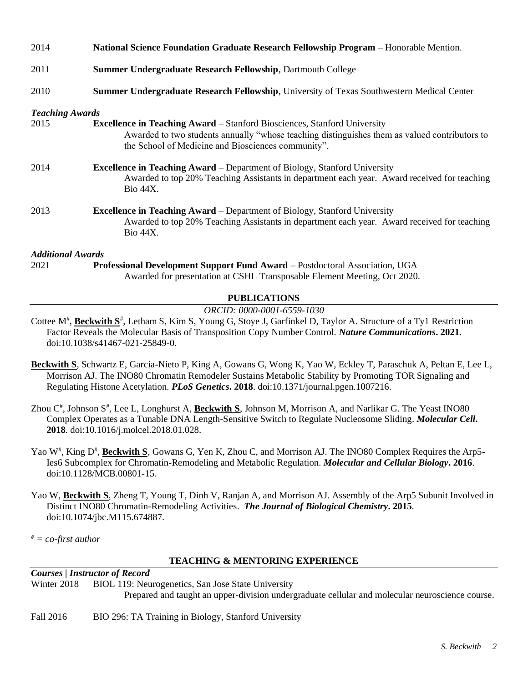| 2014                     | National Science Foundation Graduate Research Fellowship Program - Honorable Mention.                                                                                                                                                  |
|--------------------------|----------------------------------------------------------------------------------------------------------------------------------------------------------------------------------------------------------------------------------------|
| 2011                     | <b>Summer Undergraduate Research Fellowship, Dartmouth College</b>                                                                                                                                                                     |
| 2010                     | <b>Summer Undergraduate Research Fellowship, University of Texas Southwestern Medical Center</b>                                                                                                                                       |
| <b>Teaching Awards</b>   |                                                                                                                                                                                                                                        |
| 2015                     | <b>Excellence in Teaching Award</b> – Stanford Biosciences, Stanford University<br>Awarded to two students annually "whose teaching distinguishes them as valued contributors to<br>the School of Medicine and Biosciences community". |
| 2014                     | <b>Excellence in Teaching Award</b> – Department of Biology, Stanford University<br>Awarded to top 20% Teaching Assistants in department each year. Award received for teaching<br><b>Bio 44X.</b>                                     |
| 2013                     | <b>Excellence in Teaching Award – Department of Biology, Stanford University</b><br>Awarded to top 20% Teaching Assistants in department each year. Award received for teaching<br>Bio 44X.                                            |
| <b>Additional Awards</b> |                                                                                                                                                                                                                                        |
| 2021                     | <b>Professional Development Support Fund Award – Postdoctoral Association, UGA</b><br>Awarded for presentation at CSHL Transposable Element Meeting, Oct 2020.                                                                         |

# **PUBLICATIONS**

### *ORCID: 0000-0001-6559-1030*

Cottee M<sup>#</sup>, **Beckwith S**<sup>#</sup>, Letham S, Kim S, Young G, Stoye J, Garfinkel D, Taylor A. Structure of a Ty1 Restriction Factor Reveals the Molecular Basis of Transposition Copy Number Control. *Nature Communications***. 2021**. doi:10.1038/s41467-021-25849-0.

- **Beckwith S**, Schwartz E, Garcia-Nieto P, King A, Gowans G, Wong K, Yao W, Eckley T, Paraschuk A, Peltan E, Lee L, Morrison AJ. The INO80 Chromatin Remodeler Sustains Metabolic Stability by Promoting TOR Signaling and Regulating Histone Acetylation. *PLoS Genetics***. 2018**. doi:10.1371/journal.pgen.1007216.
- Zhou C<sup>#</sup>, Johnson S<sup>#</sup>, Lee L, Longhurst A, Beckwith S, Johnson M, Morrison A, and Narlikar G. The Yeast INO80 Complex Operates as a Tunable DNA Length-Sensitive Switch to Regulate Nucleosome Sliding. *Molecular Cell***. 2018**. doi:10.1016/j.molcel.2018.01.028.
- Yao W<sup>#</sup>, King D<sup>#</sup>, Beckwith S, Gowans G, Yen K, Zhou C, and Morrison AJ. The INO80 Complex Requires the Arp5-Ies6 Subcomplex for Chromatin-Remodeling and Metabolic Regulation. *Molecular and Cellular Biology***. 2016**. doi:10.1128/MCB.00801-15*.*
- Yao W, **Beckwith S**, Zheng T, Young T, Dinh V, Ranjan A, and Morrison AJ. Assembly of the Arp5 Subunit Involved in Distinct INO80 Chromatin-Remodeling Activities. *The Journal of Biological Chemistry***. 2015**. doi:10.1074/jbc.M115.674887.

*# = co-first author*

# **TEACHING & MENTORING EXPERIENCE**

#### *Courses | Instructor of Record*

Winter 2018 BIOL 119: Neurogenetics, San Jose State University Prepared and taught an upper-division undergraduate cellular and molecular neuroscience course.

#### Fall 2016 BIO 296: TA Training in Biology, Stanford University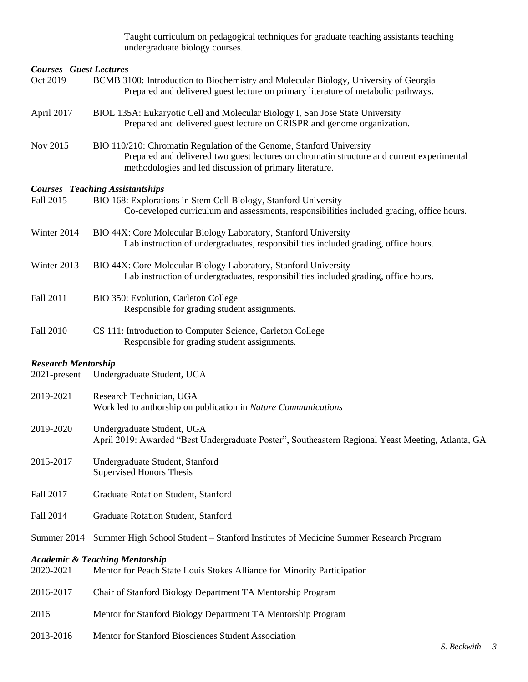Taught curriculum on pedagogical techniques for graduate teaching assistants teaching undergraduate biology courses.

| <b>Courses / Guest Lectures</b>            |                                                                                                                                                                                                                              |
|--------------------------------------------|------------------------------------------------------------------------------------------------------------------------------------------------------------------------------------------------------------------------------|
| Oct 2019                                   | BCMB 3100: Introduction to Biochemistry and Molecular Biology, University of Georgia<br>Prepared and delivered guest lecture on primary literature of metabolic pathways.                                                    |
| April 2017                                 | BIOL 135A: Eukaryotic Cell and Molecular Biology I, San Jose State University<br>Prepared and delivered guest lecture on CRISPR and genome organization.                                                                     |
| Nov 2015                                   | BIO 110/210: Chromatin Regulation of the Genome, Stanford University<br>Prepared and delivered two guest lectures on chromatin structure and current experimental<br>methodologies and led discussion of primary literature. |
| Fall 2015                                  | <b>Courses / Teaching Assistantships</b><br>BIO 168: Explorations in Stem Cell Biology, Stanford University<br>Co-developed curriculum and assessments, responsibilities included grading, office hours.                     |
| Winter 2014                                | BIO 44X: Core Molecular Biology Laboratory, Stanford University<br>Lab instruction of undergraduates, responsibilities included grading, office hours.                                                                       |
| Winter 2013                                | BIO 44X: Core Molecular Biology Laboratory, Stanford University<br>Lab instruction of undergraduates, responsibilities included grading, office hours.                                                                       |
| Fall 2011                                  | BIO 350: Evolution, Carleton College<br>Responsible for grading student assignments.                                                                                                                                         |
| Fall 2010                                  | CS 111: Introduction to Computer Science, Carleton College<br>Responsible for grading student assignments.                                                                                                                   |
| <b>Research Mentorship</b><br>2021-present | Undergraduate Student, UGA                                                                                                                                                                                                   |
| 2019-2021                                  | Research Technician, UGA<br>Work led to authorship on publication in Nature Communications                                                                                                                                   |
| 2019-2020                                  | Undergraduate Student, UGA<br>April 2019: Awarded "Best Undergraduate Poster", Southeastern Regional Yeast Meeting, Atlanta, GA                                                                                              |
| 2015-2017                                  | Undergraduate Student, Stanford<br><b>Supervised Honors Thesis</b>                                                                                                                                                           |
| Fall 2017                                  | Graduate Rotation Student, Stanford                                                                                                                                                                                          |
| Fall 2014                                  | Graduate Rotation Student, Stanford                                                                                                                                                                                          |
| Summer 2014                                | Summer High School Student - Stanford Institutes of Medicine Summer Research Program                                                                                                                                         |
| 2020-2021                                  | <b>Academic &amp; Teaching Mentorship</b><br>Mentor for Peach State Louis Stokes Alliance for Minority Participation                                                                                                         |
| 2016-2017                                  | Chair of Stanford Biology Department TA Mentorship Program                                                                                                                                                                   |
| 2016                                       | Mentor for Stanford Biology Department TA Mentorship Program                                                                                                                                                                 |
| 2013-2016                                  | Mentor for Stanford Biosciences Student Association                                                                                                                                                                          |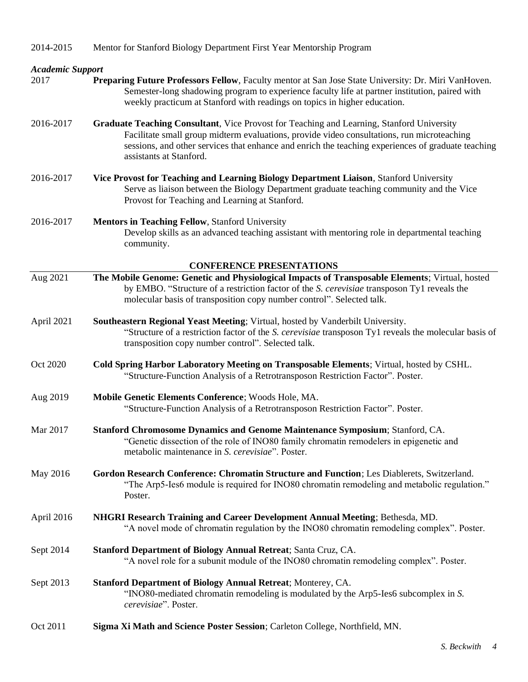| 2014-2015 | Mentor for Stanford Biology Department First Year Mentorship Program |  |  |
|-----------|----------------------------------------------------------------------|--|--|

## *Academic Support*

- 2017 **Preparing Future Professors Fellow**, Faculty mentor at San Jose State University: Dr. Miri VanHoven. Semester-long shadowing program to experience faculty life at partner institution, paired with weekly practicum at Stanford with readings on topics in higher education.
- 2016-2017 **Graduate Teaching Consultant**, Vice Provost for Teaching and Learning, Stanford University Facilitate small group midterm evaluations, provide video consultations, run microteaching sessions, and other services that enhance and enrich the teaching experiences of graduate teaching assistants at Stanford.
- 2016-2017 **Vice Provost for Teaching and Learning Biology Department Liaison**, Stanford University Serve as liaison between the Biology Department graduate teaching community and the Vice Provost for Teaching and Learning at Stanford.
- 2016-2017 **Mentors in Teaching Fellow**, Stanford University Develop skills as an advanced teaching assistant with mentoring role in departmental teaching community.

#### **CONFERENCE PRESENTATIONS**

|            | CONFERENCE I RESENTATIONS                                                                                                                                                                                                                                              |
|------------|------------------------------------------------------------------------------------------------------------------------------------------------------------------------------------------------------------------------------------------------------------------------|
| Aug 2021   | The Mobile Genome: Genetic and Physiological Impacts of Transposable Elements; Virtual, hosted<br>by EMBO. "Structure of a restriction factor of the S. cerevisiae transposon Ty1 reveals the<br>molecular basis of transposition copy number control". Selected talk. |
| April 2021 | Southeastern Regional Yeast Meeting; Virtual, hosted by Vanderbilt University.<br>"Structure of a restriction factor of the S. cerevisiae transposon Ty1 reveals the molecular basis of<br>transposition copy number control". Selected talk.                          |
| Oct 2020   | Cold Spring Harbor Laboratory Meeting on Transposable Elements; Virtual, hosted by CSHL.<br>"Structure-Function Analysis of a Retrotransposon Restriction Factor". Poster.                                                                                             |
| Aug 2019   | Mobile Genetic Elements Conference; Woods Hole, MA.<br>"Structure-Function Analysis of a Retrotransposon Restriction Factor". Poster.                                                                                                                                  |
| Mar 2017   | Stanford Chromosome Dynamics and Genome Maintenance Symposium; Stanford, CA.<br>"Genetic dissection of the role of INO80 family chromatin remodelers in epigenetic and<br>metabolic maintenance in S. cerevisiae". Poster.                                             |
| May 2016   | Gordon Research Conference: Chromatin Structure and Function; Les Diablerets, Switzerland.<br>"The Arp5-Ies6 module is required for INO80 chromatin remodeling and metabolic regulation."<br>Poster.                                                                   |
| April 2016 | NHGRI Research Training and Career Development Annual Meeting; Bethesda, MD.<br>"A novel mode of chromatin regulation by the INO80 chromatin remodeling complex". Poster.                                                                                              |
| Sept 2014  | <b>Stanford Department of Biology Annual Retreat; Santa Cruz, CA.</b><br>"A novel role for a subunit module of the INO80 chromatin remodeling complex". Poster.                                                                                                        |
| Sept 2013  | <b>Stanford Department of Biology Annual Retreat; Monterey, CA.</b><br>"INO80-mediated chromatin remodeling is modulated by the Arp5-Ies6 subcomplex in S.<br><i>cerevisiae</i> ". Poster.                                                                             |

Oct 2011 **Sigma Xi Math and Science Poster Session**; Carleton College, Northfield, MN.